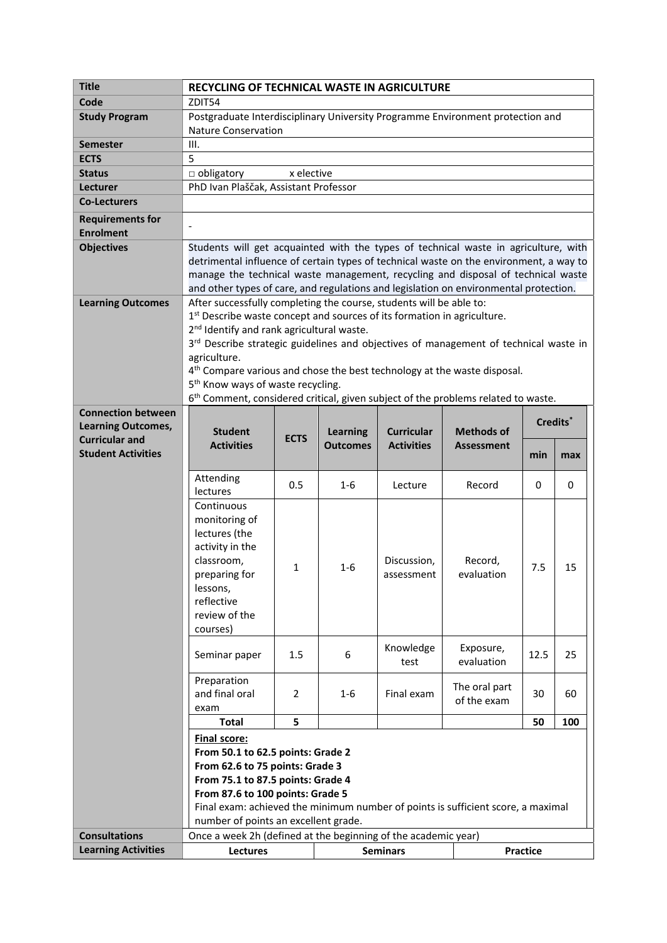| Code<br>ZDIT54<br><b>Study Program</b><br>Postgraduate Interdisciplinary University Programme Environment protection and<br><b>Nature Conservation</b><br>III.<br><b>Semester</b><br>5<br><b>ECTS</b><br>$\Box$ obligatory<br>x elective<br><b>Status</b><br>PhD Ivan Plaščak, Assistant Professor<br>Lecturer<br><b>Co-Lecturers</b><br><b>Requirements for</b><br><b>Enrolment</b><br><b>Objectives</b><br>Students will get acquainted with the types of technical waste in agriculture, with<br>detrimental influence of certain types of technical waste on the environment, a way to<br>manage the technical waste management, recycling and disposal of technical waste<br>and other types of care, and regulations and legislation on environmental protection.<br>After successfully completing the course, students will be able to:<br><b>Learning Outcomes</b><br>1st Describe waste concept and sources of its formation in agriculture.<br>2 <sup>nd</sup> Identify and rank agricultural waste.<br>3 <sup>rd</sup> Describe strategic guidelines and objectives of management of technical waste in<br>agriculture.<br>4 <sup>th</sup> Compare various and chose the best technology at the waste disposal.<br>5 <sup>th</sup> Know ways of waste recycling. |
|-----------------------------------------------------------------------------------------------------------------------------------------------------------------------------------------------------------------------------------------------------------------------------------------------------------------------------------------------------------------------------------------------------------------------------------------------------------------------------------------------------------------------------------------------------------------------------------------------------------------------------------------------------------------------------------------------------------------------------------------------------------------------------------------------------------------------------------------------------------------------------------------------------------------------------------------------------------------------------------------------------------------------------------------------------------------------------------------------------------------------------------------------------------------------------------------------------------------------------------------------------------------------------|
|                                                                                                                                                                                                                                                                                                                                                                                                                                                                                                                                                                                                                                                                                                                                                                                                                                                                                                                                                                                                                                                                                                                                                                                                                                                                             |
|                                                                                                                                                                                                                                                                                                                                                                                                                                                                                                                                                                                                                                                                                                                                                                                                                                                                                                                                                                                                                                                                                                                                                                                                                                                                             |
|                                                                                                                                                                                                                                                                                                                                                                                                                                                                                                                                                                                                                                                                                                                                                                                                                                                                                                                                                                                                                                                                                                                                                                                                                                                                             |
|                                                                                                                                                                                                                                                                                                                                                                                                                                                                                                                                                                                                                                                                                                                                                                                                                                                                                                                                                                                                                                                                                                                                                                                                                                                                             |
|                                                                                                                                                                                                                                                                                                                                                                                                                                                                                                                                                                                                                                                                                                                                                                                                                                                                                                                                                                                                                                                                                                                                                                                                                                                                             |
|                                                                                                                                                                                                                                                                                                                                                                                                                                                                                                                                                                                                                                                                                                                                                                                                                                                                                                                                                                                                                                                                                                                                                                                                                                                                             |
|                                                                                                                                                                                                                                                                                                                                                                                                                                                                                                                                                                                                                                                                                                                                                                                                                                                                                                                                                                                                                                                                                                                                                                                                                                                                             |
|                                                                                                                                                                                                                                                                                                                                                                                                                                                                                                                                                                                                                                                                                                                                                                                                                                                                                                                                                                                                                                                                                                                                                                                                                                                                             |
|                                                                                                                                                                                                                                                                                                                                                                                                                                                                                                                                                                                                                                                                                                                                                                                                                                                                                                                                                                                                                                                                                                                                                                                                                                                                             |
|                                                                                                                                                                                                                                                                                                                                                                                                                                                                                                                                                                                                                                                                                                                                                                                                                                                                                                                                                                                                                                                                                                                                                                                                                                                                             |
|                                                                                                                                                                                                                                                                                                                                                                                                                                                                                                                                                                                                                                                                                                                                                                                                                                                                                                                                                                                                                                                                                                                                                                                                                                                                             |
|                                                                                                                                                                                                                                                                                                                                                                                                                                                                                                                                                                                                                                                                                                                                                                                                                                                                                                                                                                                                                                                                                                                                                                                                                                                                             |
|                                                                                                                                                                                                                                                                                                                                                                                                                                                                                                                                                                                                                                                                                                                                                                                                                                                                                                                                                                                                                                                                                                                                                                                                                                                                             |
|                                                                                                                                                                                                                                                                                                                                                                                                                                                                                                                                                                                                                                                                                                                                                                                                                                                                                                                                                                                                                                                                                                                                                                                                                                                                             |
|                                                                                                                                                                                                                                                                                                                                                                                                                                                                                                                                                                                                                                                                                                                                                                                                                                                                                                                                                                                                                                                                                                                                                                                                                                                                             |
|                                                                                                                                                                                                                                                                                                                                                                                                                                                                                                                                                                                                                                                                                                                                                                                                                                                                                                                                                                                                                                                                                                                                                                                                                                                                             |
|                                                                                                                                                                                                                                                                                                                                                                                                                                                                                                                                                                                                                                                                                                                                                                                                                                                                                                                                                                                                                                                                                                                                                                                                                                                                             |
|                                                                                                                                                                                                                                                                                                                                                                                                                                                                                                                                                                                                                                                                                                                                                                                                                                                                                                                                                                                                                                                                                                                                                                                                                                                                             |
|                                                                                                                                                                                                                                                                                                                                                                                                                                                                                                                                                                                                                                                                                                                                                                                                                                                                                                                                                                                                                                                                                                                                                                                                                                                                             |
|                                                                                                                                                                                                                                                                                                                                                                                                                                                                                                                                                                                                                                                                                                                                                                                                                                                                                                                                                                                                                                                                                                                                                                                                                                                                             |
|                                                                                                                                                                                                                                                                                                                                                                                                                                                                                                                                                                                                                                                                                                                                                                                                                                                                                                                                                                                                                                                                                                                                                                                                                                                                             |
| 6 <sup>th</sup> Comment, considered critical, given subject of the problems related to waste.                                                                                                                                                                                                                                                                                                                                                                                                                                                                                                                                                                                                                                                                                                                                                                                                                                                                                                                                                                                                                                                                                                                                                                               |
| <b>Connection between</b><br>Credits*                                                                                                                                                                                                                                                                                                                                                                                                                                                                                                                                                                                                                                                                                                                                                                                                                                                                                                                                                                                                                                                                                                                                                                                                                                       |
| <b>Learning Outcomes,</b><br><b>Methods of</b><br><b>Student</b><br><b>Learning</b><br><b>Curricular</b><br><b>ECTS</b><br><b>Curricular and</b>                                                                                                                                                                                                                                                                                                                                                                                                                                                                                                                                                                                                                                                                                                                                                                                                                                                                                                                                                                                                                                                                                                                            |
| <b>Activities</b><br><b>Activities</b><br><b>Outcomes</b><br><b>Assessment</b><br><b>Student Activities</b><br>min                                                                                                                                                                                                                                                                                                                                                                                                                                                                                                                                                                                                                                                                                                                                                                                                                                                                                                                                                                                                                                                                                                                                                          |
| max                                                                                                                                                                                                                                                                                                                                                                                                                                                                                                                                                                                                                                                                                                                                                                                                                                                                                                                                                                                                                                                                                                                                                                                                                                                                         |
| Attending<br>0.5<br>$1-6$<br>Record<br>0<br>0<br>Lecture                                                                                                                                                                                                                                                                                                                                                                                                                                                                                                                                                                                                                                                                                                                                                                                                                                                                                                                                                                                                                                                                                                                                                                                                                    |
| lectures                                                                                                                                                                                                                                                                                                                                                                                                                                                                                                                                                                                                                                                                                                                                                                                                                                                                                                                                                                                                                                                                                                                                                                                                                                                                    |
| Continuous                                                                                                                                                                                                                                                                                                                                                                                                                                                                                                                                                                                                                                                                                                                                                                                                                                                                                                                                                                                                                                                                                                                                                                                                                                                                  |
| monitoring of                                                                                                                                                                                                                                                                                                                                                                                                                                                                                                                                                                                                                                                                                                                                                                                                                                                                                                                                                                                                                                                                                                                                                                                                                                                               |
| lectures (the                                                                                                                                                                                                                                                                                                                                                                                                                                                                                                                                                                                                                                                                                                                                                                                                                                                                                                                                                                                                                                                                                                                                                                                                                                                               |
| activity in the                                                                                                                                                                                                                                                                                                                                                                                                                                                                                                                                                                                                                                                                                                                                                                                                                                                                                                                                                                                                                                                                                                                                                                                                                                                             |
| classroom,<br>Discussion,<br>Record,<br>7.5<br>15<br>1<br>1-6                                                                                                                                                                                                                                                                                                                                                                                                                                                                                                                                                                                                                                                                                                                                                                                                                                                                                                                                                                                                                                                                                                                                                                                                               |
| preparing for<br>evaluation<br>assessment                                                                                                                                                                                                                                                                                                                                                                                                                                                                                                                                                                                                                                                                                                                                                                                                                                                                                                                                                                                                                                                                                                                                                                                                                                   |
| lessons,<br>reflective                                                                                                                                                                                                                                                                                                                                                                                                                                                                                                                                                                                                                                                                                                                                                                                                                                                                                                                                                                                                                                                                                                                                                                                                                                                      |
| review of the                                                                                                                                                                                                                                                                                                                                                                                                                                                                                                                                                                                                                                                                                                                                                                                                                                                                                                                                                                                                                                                                                                                                                                                                                                                               |
| courses)                                                                                                                                                                                                                                                                                                                                                                                                                                                                                                                                                                                                                                                                                                                                                                                                                                                                                                                                                                                                                                                                                                                                                                                                                                                                    |
|                                                                                                                                                                                                                                                                                                                                                                                                                                                                                                                                                                                                                                                                                                                                                                                                                                                                                                                                                                                                                                                                                                                                                                                                                                                                             |
| Knowledge<br>Exposure,<br>6<br>Seminar paper<br>1.5<br>12.5<br>25                                                                                                                                                                                                                                                                                                                                                                                                                                                                                                                                                                                                                                                                                                                                                                                                                                                                                                                                                                                                                                                                                                                                                                                                           |
| evaluation<br>test                                                                                                                                                                                                                                                                                                                                                                                                                                                                                                                                                                                                                                                                                                                                                                                                                                                                                                                                                                                                                                                                                                                                                                                                                                                          |
| Preparation<br>The oral part                                                                                                                                                                                                                                                                                                                                                                                                                                                                                                                                                                                                                                                                                                                                                                                                                                                                                                                                                                                                                                                                                                                                                                                                                                                |
| and final oral<br>$\overline{2}$<br>Final exam<br>30<br>1-6<br>60<br>of the exam                                                                                                                                                                                                                                                                                                                                                                                                                                                                                                                                                                                                                                                                                                                                                                                                                                                                                                                                                                                                                                                                                                                                                                                            |
| exam                                                                                                                                                                                                                                                                                                                                                                                                                                                                                                                                                                                                                                                                                                                                                                                                                                                                                                                                                                                                                                                                                                                                                                                                                                                                        |
| 5<br><b>Total</b><br>50<br>100                                                                                                                                                                                                                                                                                                                                                                                                                                                                                                                                                                                                                                                                                                                                                                                                                                                                                                                                                                                                                                                                                                                                                                                                                                              |
| <b>Final score:</b>                                                                                                                                                                                                                                                                                                                                                                                                                                                                                                                                                                                                                                                                                                                                                                                                                                                                                                                                                                                                                                                                                                                                                                                                                                                         |
| From 50.1 to 62.5 points: Grade 2                                                                                                                                                                                                                                                                                                                                                                                                                                                                                                                                                                                                                                                                                                                                                                                                                                                                                                                                                                                                                                                                                                                                                                                                                                           |
| From 62.6 to 75 points: Grade 3                                                                                                                                                                                                                                                                                                                                                                                                                                                                                                                                                                                                                                                                                                                                                                                                                                                                                                                                                                                                                                                                                                                                                                                                                                             |
| From 75.1 to 87.5 points: Grade 4                                                                                                                                                                                                                                                                                                                                                                                                                                                                                                                                                                                                                                                                                                                                                                                                                                                                                                                                                                                                                                                                                                                                                                                                                                           |
| From 87.6 to 100 points: Grade 5<br>Final exam: achieved the minimum number of points is sufficient score, a maximal                                                                                                                                                                                                                                                                                                                                                                                                                                                                                                                                                                                                                                                                                                                                                                                                                                                                                                                                                                                                                                                                                                                                                        |
| number of points an excellent grade.                                                                                                                                                                                                                                                                                                                                                                                                                                                                                                                                                                                                                                                                                                                                                                                                                                                                                                                                                                                                                                                                                                                                                                                                                                        |
| Once a week 2h (defined at the beginning of the academic year)<br><b>Consultations</b>                                                                                                                                                                                                                                                                                                                                                                                                                                                                                                                                                                                                                                                                                                                                                                                                                                                                                                                                                                                                                                                                                                                                                                                      |
| <b>Learning Activities</b><br><b>Practice</b><br>Lectures<br><b>Seminars</b>                                                                                                                                                                                                                                                                                                                                                                                                                                                                                                                                                                                                                                                                                                                                                                                                                                                                                                                                                                                                                                                                                                                                                                                                |